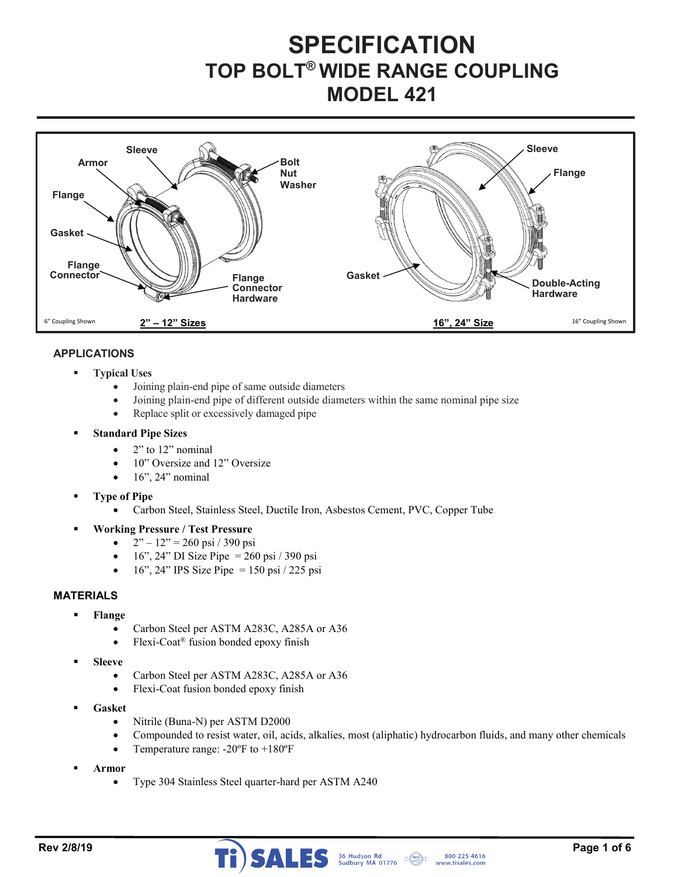# **SPECIFICATION TOP BOLT® WIDE RANGE COUPLING MODEL 421**



## **APPLICATIONS**

- **Typical Uses** 
	- Joining plain-end pipe of same outside diameters
	- Joining plain-end pipe of different outside diameters within the same nominal pipe size
	- Replace split or excessively damaged pipe

#### **Standard Pipe Sizes**

- $\bullet$  2" to 12" nominal
- 10" Oversize and 12" Oversize
- 16", 24" nominal
- **Type of Pipe** 
	- Carbon Steel, Stainless Steel, Ductile Iron, Asbestos Cement, PVC, Copper Tube

**Working Pressure / Test Pressure** 

- $2" 12" = 260 \text{ psi} / 390 \text{ psi}$
- $16$ ", 24" DI Size Pipe = 260 psi / 390 psi
- 16", 24" IPS Size Pipe = 150 psi / 225 psi

## **MATERIALS**

- **Flange** 
	- Carbon Steel per ASTM A283C, A285A or A36
	- Flexi-Coat® fusion bonded epoxy finish
- **Sleeve** 
	- Carbon Steel per ASTM A283C, A285A or A36
	- Flexi-Coat fusion bonded epoxy finish
- **Gasket** 
	- Nitrile (Buna-N) per ASTM D2000
	- Compounded to resist water, oil, acids, alkalies, most (aliphatic) hydrocarbon fluids, and many other chemicals
	- Temperature range:  $-20^{\circ}$ F to  $+180^{\circ}$ F
- **Armor**
	- Type 304 Stainless Steel quarter-hard per ASTM A240

www.tisales.com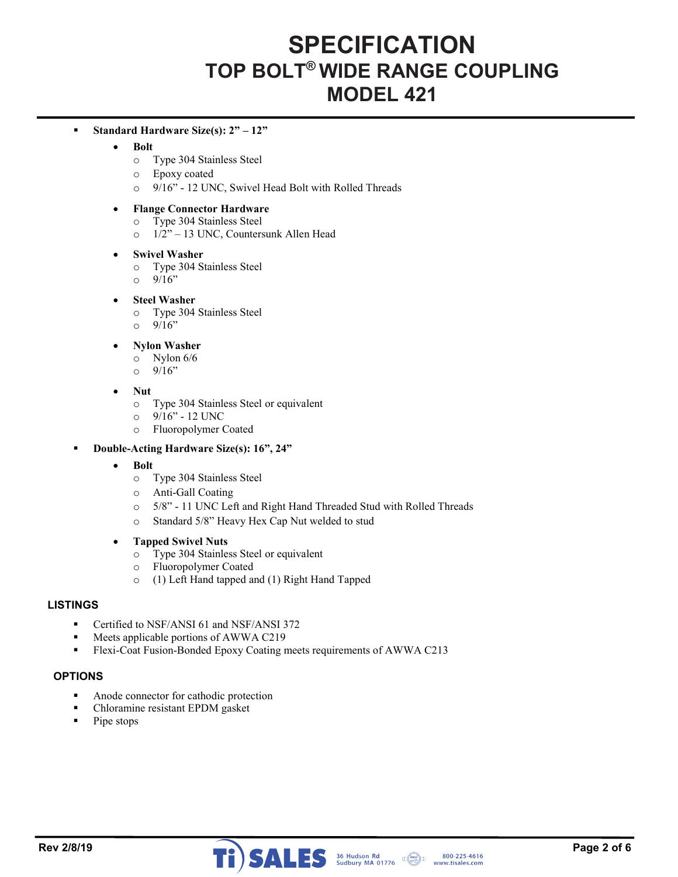## **SPECIFICATION TOP BOLT® WIDE RANGE COUPLING MODEL 421**

### **Standard Hardware Size(s): 2" – 12"**

#### **Bolt**

- o Type 304 Stainless Steel
- o Epoxy coated
- o 9/16" 12 UNC, Swivel Head Bolt with Rolled Threads

#### **Flange Connector Hardware**

- o Type 304 Stainless Steel
- o 1/2" 13 UNC, Countersunk Allen Head

#### **Swivel Washer**

- o Type 304 Stainless Steel
- $0^{9/16"}$

## **Steel Washer**

- o Type 304 Stainless Steel
- $0 \frac{9}{16}$

## **Nylon Washer**

- o Nylon 6/6
- $0^{9/16"}$

#### **Nut**

- o Type 304 Stainless Steel or equivalent
- o 9/16" 12 UNC
- o Fluoropolymer Coated

## **Double-Acting Hardware Size(s): 16", 24"**

- **•** Bolt
	- o Type 304 Stainless Steel
	- o Anti-Gall Coating
	- o 5/8" 11 UNC Left and Right Hand Threaded Stud with Rolled Threads
	- o Standard 5/8" Heavy Hex Cap Nut welded to stud

#### **Tapped Swivel Nuts**

- o Type 304 Stainless Steel or equivalent
- o Fluoropolymer Coated
- o (1) Left Hand tapped and (1) Right Hand Tapped

## **LISTINGS**

- **•** Certified to NSF/ANSI 61 and NSF/ANSI 372
- **Meets applicable portions of AWWA C219**
- Flexi-Coat Fusion-Bonded Epoxy Coating meets requirements of AWWA C213

#### **OPTIONS**

- Anode connector for cathodic protection
- Chloramine resistant EPDM gasket
- $\blacksquare$  Pipe stops



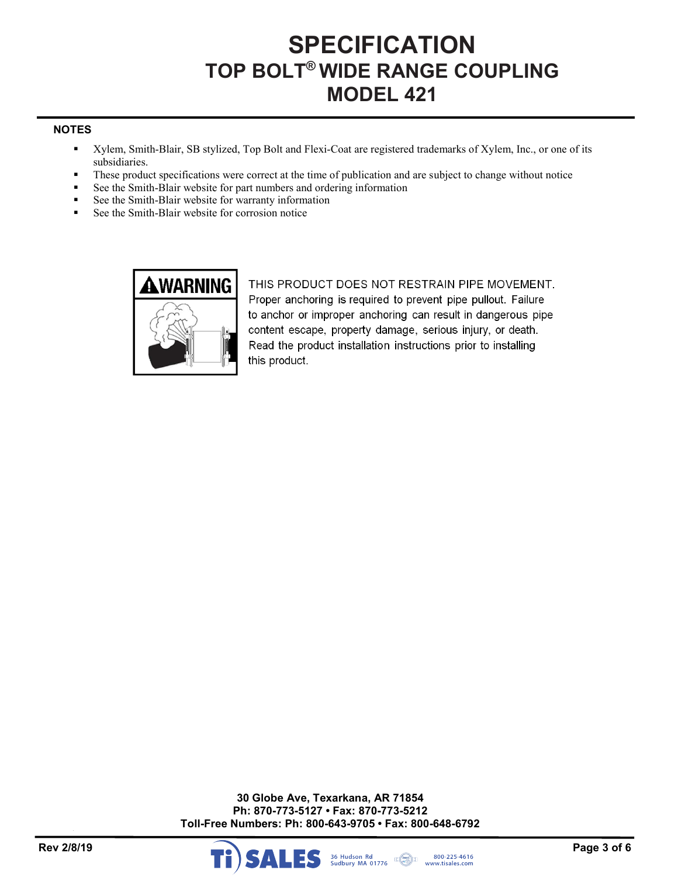# **SPECIFICATION TOP BOLT® WIDE RANGE COUPLING MODEL 421**

## **NOTES**

- Xylem, Smith-Blair, SB stylized, Top Bolt and Flexi-Coat are registered trademarks of Xylem, Inc., or one of its subsidiaries.
- These product specifications were correct at the time of publication and are subject to change without notice
- See the Smith-Blair website for part numbers and ordering information
- See the Smith-Blair website for warranty information
- See the Smith-Blair website for corrosion notice



THIS PRODUCT DOES NOT RESTRAIN PIPE MOVEMENT. Proper anchoring is required to prevent pipe pullout. Failure to anchor or improper anchoring can result in dangerous pipe content escape, property damage, serious injury, or death. Read the product installation instructions prior to installing this product.

**30 Globe Ave, Texarkana, AR 71854 Ph: 870-773-5127 • Fax: 870-773-5212 Toll-Free Numbers: Ph: 800-643-9705 • Fax: 800-648-6792** 

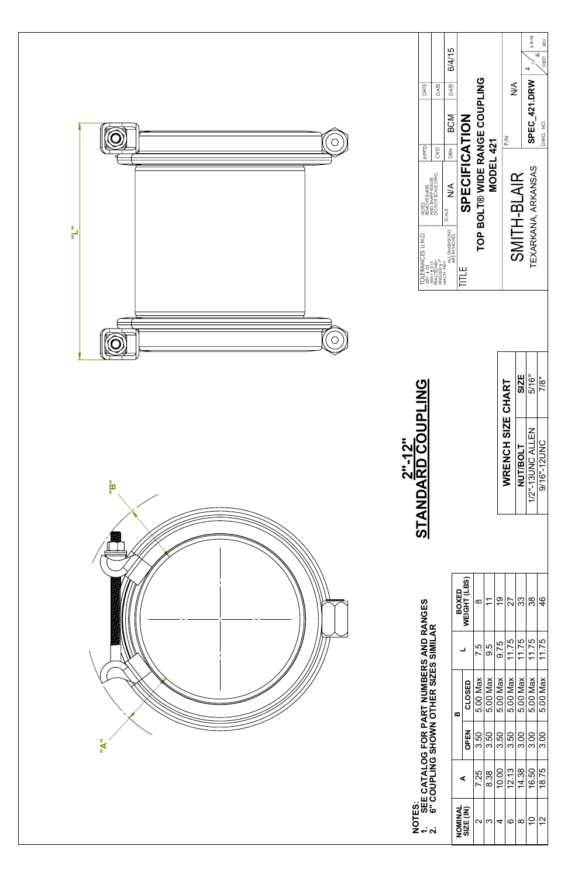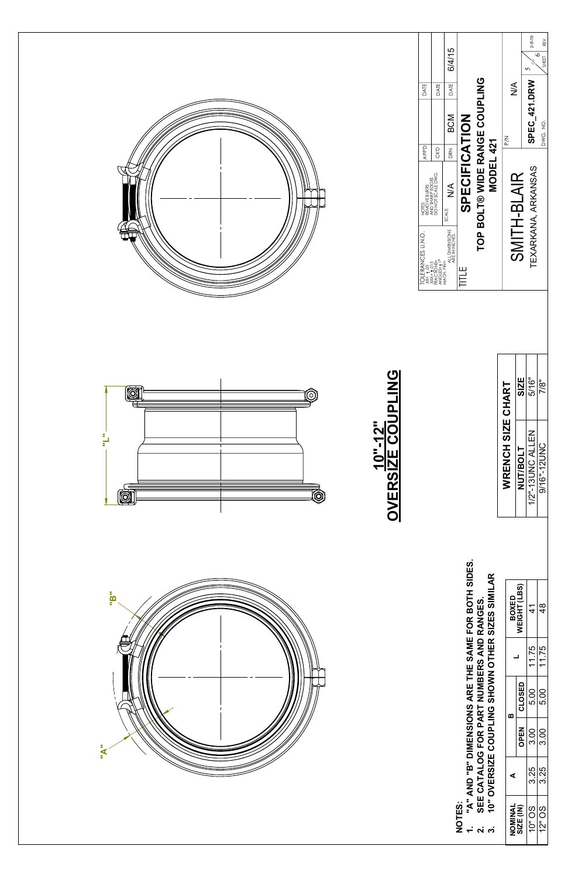| "A" AND "B" DIMENSIONS ARE THE SAME FOR BOTH SIDES.<br>AR<br>SIZES SIMIL<br>"B" | BOXED<br>WEIGHT (LBS)        | $\frac{4}{5}$ | $\frac{8}{4}$        |
|---------------------------------------------------------------------------------|------------------------------|---------------|----------------------|
| <b>NUMBERS AND RANGES.</b><br>SHOWN OTHER                                       | ᆜ                            | 11.75         | $\sqrt{11.75}$       |
|                                                                                 | CLOSED<br>$\pmb{\mathsf{m}}$ | 5.00          | $\overline{5.00}$    |
| SEE CATALOG FOR PART<br>10" OVERSIZE COUPLING<br>B<br>$\mathbf{A}$              | <b>OPEN</b>                  | 3.00          | $\frac{1}{3.00}$     |
|                                                                                 | $\blacktriangleleft$         | 3.25          | $\overline{3.25}$    |
| NOTES:<br>$\div$<br>ດ່ ຕ່                                                       | NOMINAL<br>SIZE (IN)         | 10" OS        | $\frac{12^{10}}{25}$ |